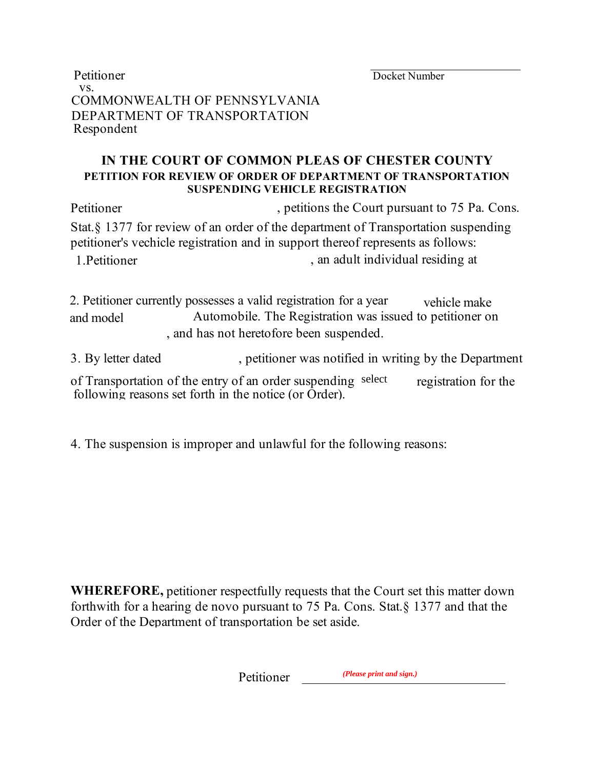Docket Number

Petitioner vs. COMMONWEALTH OF PENNSYLVANIA DEPARTMENT OF TRANSPORTATION Respondent

## **IN THE COURT OF COMMON PLEAS OF CHESTER COUNTY PETITION FOR REVIEW OF ORDER OF DEPARTMENT OF TRANSPORTATION SUSPENDING VEHICLE REGISTRATION**

Petitioner , petitions the Court pursuant to 75 Pa. Cons. Stat.§ 1377 for review of an order of the department of Transportation suspending petitioner's vechicle registration and in support thereof represents as follows: 1. Petitioner and the state of the state of the state of the state of the state of the state of the state of the state of the state of the state of the state of the state of the state of the state of the state of the state

2. Petitioner currently possesses a valid registration for a year Automobile. The Registration was issued to petitioner on , and has not heretofore been suspended. vehicle make and model

3. By letter dated , petitioner was notified in writing by the Department

of Transportation of the entry of an order suspending select registration for the following reasons set forth in the notice (or Order).

4. The suspension is improper and unlawful for the following reasons:

**WHEREFORE,** petitioner respectfully requests that the Court set this matter down forthwith for a hearing de novo pursuant to 75 Pa. Cons. Stat.§ 1377 and that the Order of the Department of transportation be set aside.

> Petitioner *(Please print and sign.)*